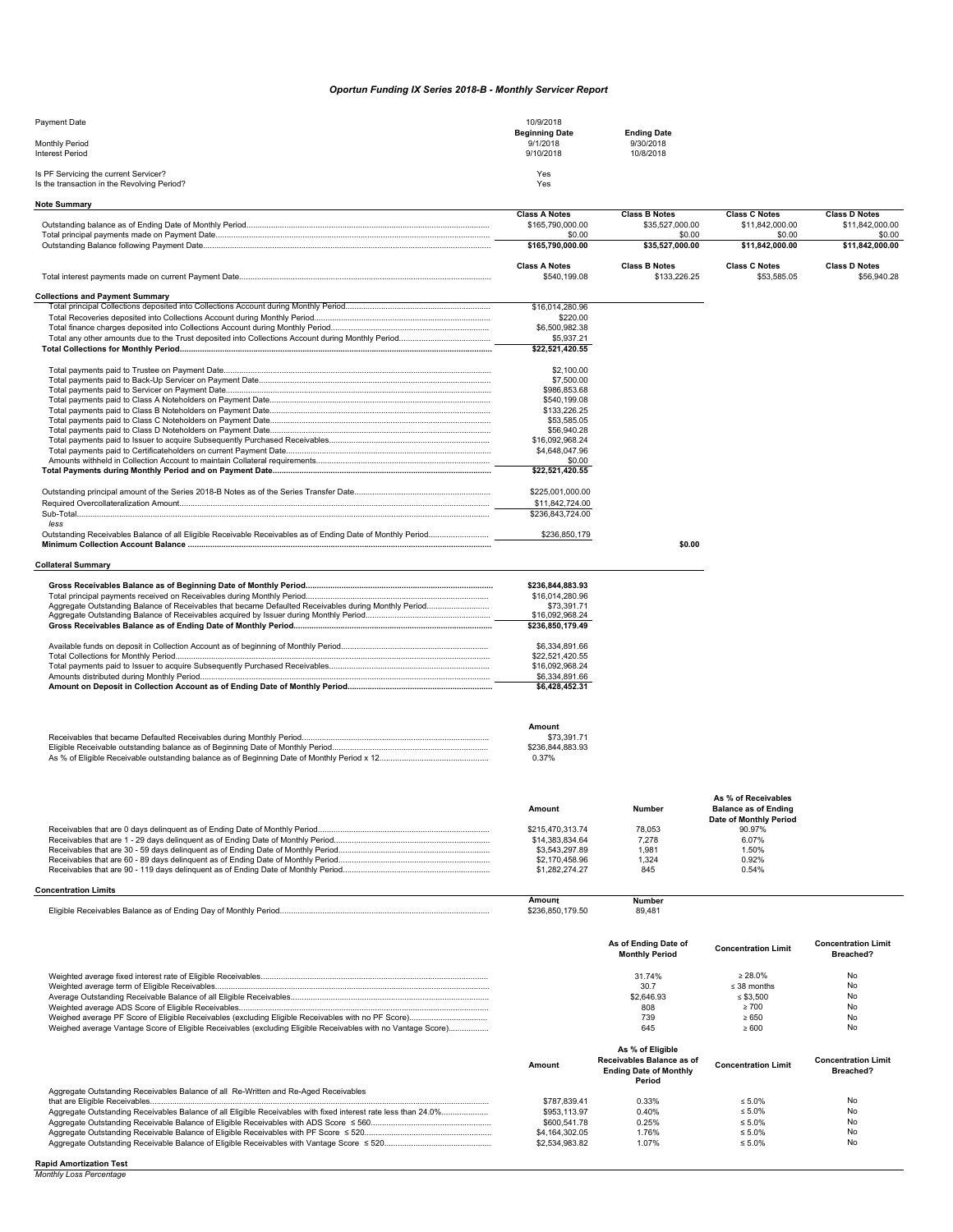## *Oportun Funding IX Series 2018-B - Monthly Servicer Report*

| Payment Date                                | 10/9/2018             |                    |
|---------------------------------------------|-----------------------|--------------------|
|                                             | <b>Beginning Date</b> | <b>Ending Date</b> |
| <b>Monthly Period</b>                       | 9/1/2018              | 9/30/2018          |
| <b>Interest Period</b>                      | 9/10/2018             | 10/8/2018          |
|                                             |                       |                    |
| Is PF Servicing the current Servicer?       | Yes                   |                    |
| Is the transaction in the Revolving Period? | Yes                   |                    |

| <b>Note Summary</b>                                                                                                |                                      |                                         |                                                       |                                     |
|--------------------------------------------------------------------------------------------------------------------|--------------------------------------|-----------------------------------------|-------------------------------------------------------|-------------------------------------|
|                                                                                                                    | <b>Class A Notes</b>                 | <b>Class B Notes</b>                    | <b>Class C Notes</b>                                  | <b>Class D Notes</b>                |
|                                                                                                                    | \$165,790,000.00                     | \$35,527,000.00                         | \$11,842,000.00                                       | \$11.842.000.00                     |
|                                                                                                                    | \$0.00<br>\$165,790,000.00           | \$0.00<br>\$35,527,000.00               | \$0.00<br>\$11,842,000.00                             | \$0.00<br>\$11,842,000.00           |
|                                                                                                                    |                                      |                                         |                                                       |                                     |
|                                                                                                                    | <b>Class A Notes</b><br>\$540,199.08 | <b>Class B Notes</b><br>\$133,226.25    | <b>Class C Notes</b><br>\$53,585.05                   | <b>Class D Notes</b><br>\$56,940.28 |
| <b>Collections and Payment Summary</b>                                                                             |                                      |                                         |                                                       |                                     |
|                                                                                                                    | \$16,014,280.96                      |                                         |                                                       |                                     |
|                                                                                                                    | \$220.00                             |                                         |                                                       |                                     |
|                                                                                                                    | \$6,500,982.38                       |                                         |                                                       |                                     |
|                                                                                                                    | \$5,937.21                           |                                         |                                                       |                                     |
|                                                                                                                    | \$22,521,420.55                      |                                         |                                                       |                                     |
|                                                                                                                    | \$2,100.00                           |                                         |                                                       |                                     |
|                                                                                                                    | \$7,500.00                           |                                         |                                                       |                                     |
|                                                                                                                    | \$986,853.68                         |                                         |                                                       |                                     |
|                                                                                                                    | \$540.199.08                         |                                         |                                                       |                                     |
|                                                                                                                    | \$133,226.25                         |                                         |                                                       |                                     |
|                                                                                                                    | \$53,585.05                          |                                         |                                                       |                                     |
|                                                                                                                    | \$56,940.28                          |                                         |                                                       |                                     |
|                                                                                                                    |                                      |                                         |                                                       |                                     |
|                                                                                                                    | \$16,092,968.24                      |                                         |                                                       |                                     |
|                                                                                                                    | \$4,648,047.96                       |                                         |                                                       |                                     |
|                                                                                                                    | \$0.00                               |                                         |                                                       |                                     |
|                                                                                                                    | \$22,521,420.55                      |                                         |                                                       |                                     |
|                                                                                                                    | \$225,001,000.00                     |                                         |                                                       |                                     |
|                                                                                                                    | \$11,842,724.00                      |                                         |                                                       |                                     |
|                                                                                                                    | \$236,843,724.00                     |                                         |                                                       |                                     |
| less<br>Outstanding Receivables Balance of all Eligible Receivable Receivables as of Ending Date of Monthly Period | \$236,850,179                        |                                         |                                                       |                                     |
|                                                                                                                    |                                      | \$0.00                                  |                                                       |                                     |
| Collateral Summary                                                                                                 |                                      |                                         |                                                       |                                     |
|                                                                                                                    |                                      |                                         |                                                       |                                     |
|                                                                                                                    | \$236,844,883.93                     |                                         |                                                       |                                     |
|                                                                                                                    | \$16,014,280.96                      |                                         |                                                       |                                     |
|                                                                                                                    | \$73,391.71                          |                                         |                                                       |                                     |
|                                                                                                                    | \$16,092,968.24                      |                                         |                                                       |                                     |
|                                                                                                                    | \$236,850,179.49                     |                                         |                                                       |                                     |
|                                                                                                                    | \$6,334,891.66                       |                                         |                                                       |                                     |
|                                                                                                                    | \$22,521,420.55                      |                                         |                                                       |                                     |
|                                                                                                                    | \$16,092,968.24                      |                                         |                                                       |                                     |
|                                                                                                                    | \$6,334,891.66                       |                                         |                                                       |                                     |
|                                                                                                                    | \$6,428,452.31                       |                                         |                                                       |                                     |
|                                                                                                                    |                                      |                                         |                                                       |                                     |
|                                                                                                                    |                                      |                                         |                                                       |                                     |
|                                                                                                                    | Amount                               |                                         |                                                       |                                     |
|                                                                                                                    | \$73,391.71                          |                                         |                                                       |                                     |
|                                                                                                                    | \$236,844,883.93                     |                                         |                                                       |                                     |
|                                                                                                                    | 0.37%                                |                                         |                                                       |                                     |
|                                                                                                                    |                                      |                                         |                                                       |                                     |
|                                                                                                                    |                                      |                                         |                                                       |                                     |
|                                                                                                                    |                                      | Number                                  | As % of Receivables                                   |                                     |
|                                                                                                                    | Amount                               |                                         | <b>Balance as of Ending</b><br>Date of Monthly Period |                                     |
|                                                                                                                    | \$215,470,313.74                     | 78,053                                  | 90.97%                                                |                                     |
|                                                                                                                    | \$14,383,834.64                      | 7,278                                   | 6.07%                                                 |                                     |
|                                                                                                                    | \$3,543,297.89                       | 1,981                                   | 1.50%                                                 |                                     |
|                                                                                                                    | \$2,170,458.96                       | 1,324                                   | 0.92%                                                 |                                     |
|                                                                                                                    | \$1,282,274.27                       | 845                                     | 0.54%                                                 |                                     |
|                                                                                                                    |                                      |                                         |                                                       |                                     |
| <b>Concentration Limits</b>                                                                                        | Amount                               | Number                                  |                                                       |                                     |
|                                                                                                                    | \$236,850,179.50                     | 89,481                                  |                                                       |                                     |
|                                                                                                                    |                                      |                                         |                                                       |                                     |
|                                                                                                                    |                                      | As of Ending Date of                    |                                                       | <b>Concentration Limit</b>          |
|                                                                                                                    |                                      | <b>Monthly Period</b>                   | <b>Concentration Limit</b>                            | Breached?                           |
|                                                                                                                    |                                      | 31.74%                                  | $\geq 28.0\%$                                         | No                                  |
|                                                                                                                    |                                      | 30.7                                    | $\leq$ 38 months                                      | No                                  |
|                                                                                                                    |                                      |                                         |                                                       |                                     |
|                                                                                                                    |                                      | \$2,646.93                              | $\leq$ \$3,500                                        | No                                  |
|                                                                                                                    |                                      | 808                                     | $\geq 700$                                            | No                                  |
|                                                                                                                    |                                      | 739                                     | $\geq 650$                                            | No                                  |
| Weighed average Vantage Score of Eligible Receivables (excluding Eligible Receivables with no Vantage Score)       |                                      | 645                                     | $\geq 600$                                            | No                                  |
|                                                                                                                    |                                      | As % of Eligible                        |                                                       |                                     |
|                                                                                                                    |                                      | Receivables Balance as of               |                                                       | <b>Concentration Limit</b>          |
|                                                                                                                    | <b>Amount</b>                        |                                         | <b>Concentration Limit</b>                            |                                     |
|                                                                                                                    |                                      | <b>Ending Date of Monthly</b><br>Period |                                                       | Breached?                           |
| Aggregate Outstanding Receivables Balance of all Re-Written and Re-Aged Receivables                                |                                      |                                         |                                                       |                                     |
| that are Eligible Peceivable                                                                                       | <b>¢787 830 41</b>                   | 0.330                                   | 5.0%                                                  |                                     |

| Ayyreyate Outstanding Receivables Dalance Of all Re-Whiteh and Re-Ayeu Receivables |                |       |              |    |
|------------------------------------------------------------------------------------|----------------|-------|--------------|----|
|                                                                                    | \$787,839.41   | 0.33% | $\leq 5.0\%$ | No |
|                                                                                    | \$953.113.97   | 0.40% | $< 5.0\%$    | No |
|                                                                                    | \$600,541.78   | 0.25% | $\leq 5.0\%$ | No |
|                                                                                    | \$4,164,302.05 | .76%  | $\leq 5.0\%$ | No |
|                                                                                    | \$2,534,983.82 | 1.07% | $\leq 5.0\%$ | No |
|                                                                                    |                |       |              |    |

**Rapid Amortization Test** *Monthly Loss Percentage*